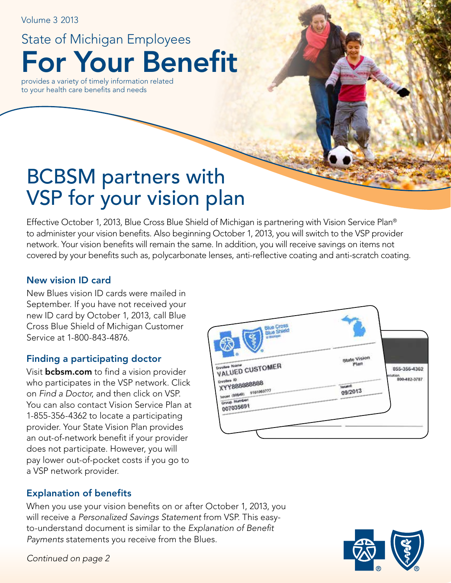Volume 3 2013

For Your Benefit State of Michigan Employees

provides a variety of timely information related to your health care benefits and needs

# BCBSM partners with VSP for your vision plan

Effective October 1, 2013, Blue Cross Blue Shield of Michigan is partnering with Vision Service Plan® to administer your vision benefits. Also beginning October 1, 2013, you will switch to the VSP provider network. Your vision benefits will remain the same. In addition, you will receive savings on items not covered by your benefits such as, polycarbonate lenses, anti-reflective coating and anti-scratch coating.

### New vision ID card

New Blues vision ID cards were mailed in September. If you have not received your new ID card by October 1, 2013, call Blue Cross Blue Shield of Michigan Customer Service at 1-800-843-4876.

### Finding a participating doctor

Visit **bcbsm.com** to find a vision provider who participates in the VSP network. Click on *Find a Doctor*, and then click on VSP. You can also contact Vision Service Plan at 1-855-356-4362 to locate a participating provider. Your State Vision Plan provides an out-of-network benefit if your provider does not participate. However, you will pay lower out-of-pocket costs if you go to a VSP network provider.



### Explanation of benefits

When you use your vision benefits on or after October 1, 2013, you will receive a *Personalized Savings Statement* from VSP. This easyto-understand document is similar to the *Explanation of Benefit Payments* statements you receive from the Blues.



*Continued on page 2*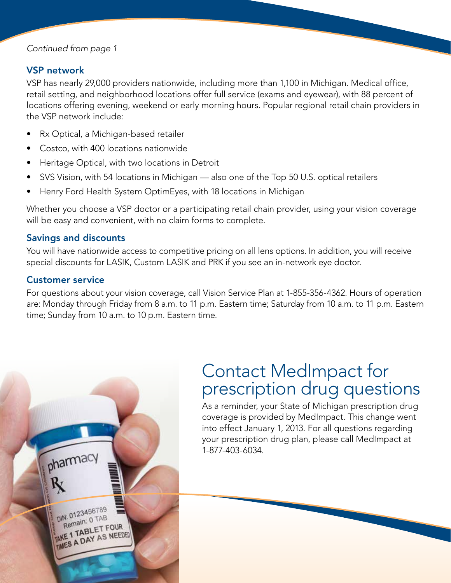### *Continued from page 1*

### VSP network

VSP has nearly 29,000 providers nationwide, including more than 1,100 in Michigan. Medical office, retail setting, and neighborhood locations offer full service (exams and eyewear), with 88 percent of locations offering evening, weekend or early morning hours. Popular regional retail chain providers in the VSP network include:

- Rx Optical, a Michigan-based retailer
- Costco, with 400 locations nationwide
- Heritage Optical, with two locations in Detroit
- SVS Vision, with 54 locations in Michigan also one of the Top 50 U.S. optical retailers
- Henry Ford Health System OptimEyes, with 18 locations in Michigan

Whether you choose a VSP doctor or a participating retail chain provider, using your vision coverage will be easy and convenient, with no claim forms to complete.

### Savings and discounts

You will have nationwide access to competitive pricing on all lens options. In addition, you will receive special discounts for LASIK, Custom LASIK and PRK if you see an in-network eye doctor.

### Customer service

For questions about your vision coverage, call Vision Service Plan at 1-855-356-4362. Hours of operation are: Monday through Friday from 8 a.m. to 11 p.m. Eastern time; Saturday from 10 a.m. to 11 p.m. Eastern time; Sunday from 10 a.m. to 10 p.m. Eastern time.



### Contact MedImpact for prescription drug questions

As a reminder, your State of Michigan prescription drug coverage is provided by MedImpact. This change went into effect January 1, 2013. For all questions regarding your prescription drug plan, please call MedImpact at 1-877-403-6034.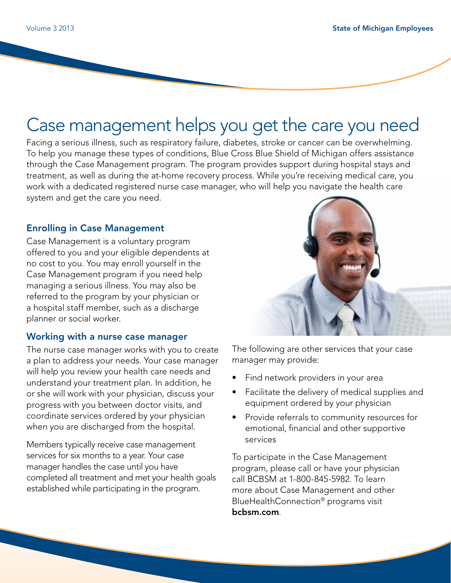## Case management helps you get the care you need

Facing a serious illness, such as respiratory failure, diabetes, stroke or cancer can be overwhelming. To help you manage these types of conditions, Blue Cross Blue Shield of Michigan offers assistance through the Case Management program. The program provides support during hospital stays and treatment, as well as during the at-home recovery process. While you're receiving medical care, you work with a dedicated registered nurse case manager, who will help you navigate the health care system and get the care you need.

### Enrolling in Case Management

Case Management is a voluntary program offered to you and your eligible dependents at no cost to you. You may enroll yourself in the Case Management program if you need help managing a serious illness. You may also be referred to the program by your physician or a hospital staff member, such as a discharge planner or social worker.

### Working with a nurse case manager

The nurse case manager works with you to create a plan to address your needs. Your case manager will help you review your health care needs and understand your treatment plan. In addition, he or she will work with your physician, discuss your progress with you between doctor visits, and coordinate services ordered by your physician when you are discharged from the hospital.

Members typically receive case management services for six months to a year. Your case manager handles the case until you have completed all treatment and met your health goals established while participating in the program.



The following are other services that your case manager may provide:

- Find network providers in your area
- Facilitate the delivery of medical supplies and equipment ordered by your physician
- Provide referrals to community resources for emotional, financial and other supportive services

To participate in the Case Management program, please call or have your physician call BCBSM at 1-800-845-5982. To learn more about Case Management and other BlueHealthConnection® programs visit bcbsm.com.